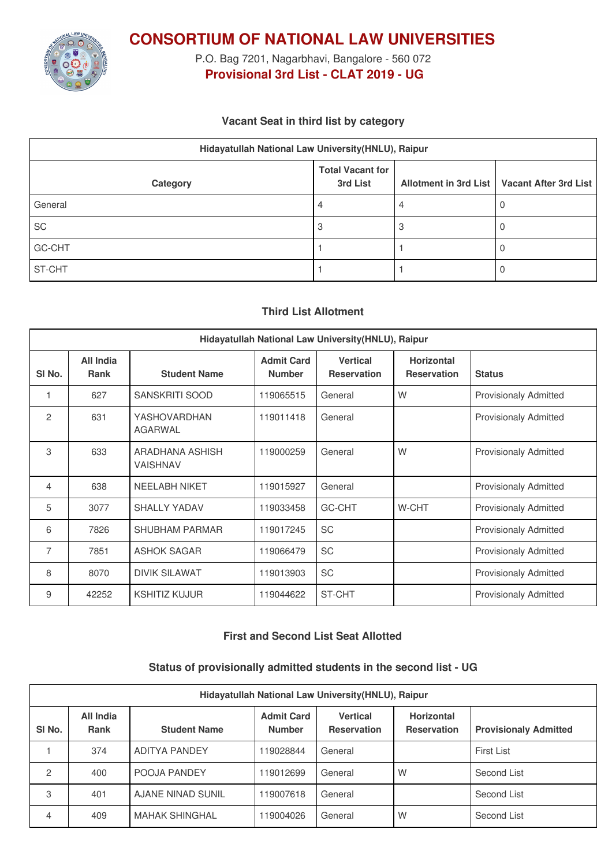

**CONSORTIUM OF NATIONAL LAW UNIVERSITIES**

P.O. Bag 7201, Nagarbhavi, Bangalore - 560 072 **Provisional 3rd List - CLAT 2019 - UG**

## **Vacant Seat in third list by category**

| Hidayatullah National Law University(HNLU), Raipur |                                     |  |                                               |  |  |  |
|----------------------------------------------------|-------------------------------------|--|-----------------------------------------------|--|--|--|
| Category                                           | <b>Total Vacant for</b><br>3rd List |  | Allotment in 3rd List   Vacant After 3rd List |  |  |  |
| General                                            | 4                                   |  |                                               |  |  |  |
| SC                                                 |                                     |  |                                               |  |  |  |
| GC-CHT                                             |                                     |  |                                               |  |  |  |
| ST-CHT                                             |                                     |  |                                               |  |  |  |

## **Third List Allotment**

| Hidayatullah National Law University (HNLU), Raipur |                          |                                    |                                    |                                       |                                         |                              |  |
|-----------------------------------------------------|--------------------------|------------------------------------|------------------------------------|---------------------------------------|-----------------------------------------|------------------------------|--|
| SI <sub>No.</sub>                                   | All India<br><b>Rank</b> | <b>Student Name</b>                | <b>Admit Card</b><br><b>Number</b> | <b>Vertical</b><br><b>Reservation</b> | <b>Horizontal</b><br><b>Reservation</b> | <b>Status</b>                |  |
|                                                     | 627                      | <b>SANSKRITI SOOD</b>              | 119065515                          | General                               | W                                       | <b>Provisionaly Admitted</b> |  |
| 2                                                   | 631                      | <b>YASHOVARDHAN</b><br>AGARWAL     | 119011418                          | General                               |                                         | <b>Provisionaly Admitted</b> |  |
| 3                                                   | 633                      | ARADHANA ASHISH<br><b>VAISHNAV</b> | 119000259                          | General                               | W                                       | <b>Provisionaly Admitted</b> |  |
| 4                                                   | 638                      | <b>NEELABH NIKET</b>               | 119015927                          | General                               |                                         | <b>Provisionaly Admitted</b> |  |
| 5                                                   | 3077                     | <b>SHALLY YADAV</b>                | 119033458                          | <b>GC-CHT</b>                         | W-CHT                                   | <b>Provisionaly Admitted</b> |  |
| 6                                                   | 7826                     | <b>SHUBHAM PARMAR</b>              | 119017245                          | <b>SC</b>                             |                                         | <b>Provisionaly Admitted</b> |  |
| 7                                                   | 7851                     | <b>ASHOK SAGAR</b>                 | 119066479                          | <b>SC</b>                             |                                         | <b>Provisionaly Admitted</b> |  |
| 8                                                   | 8070                     | <b>DIVIK SILAWAT</b>               | 119013903                          | <b>SC</b>                             |                                         | <b>Provisionaly Admitted</b> |  |
| 9                                                   | 42252                    | <b>KSHITIZ KUJUR</b>               | 119044622                          | ST-CHT                                |                                         | <b>Provisionaly Admitted</b> |  |

## **First and Second List Seat Allotted**

## **Status of provisionally admitted students in the second list - UG**

| Hidayatullah National Law University (HNLU), Raipur |                          |                       |                                    |                                       |                                         |                              |  |  |
|-----------------------------------------------------|--------------------------|-----------------------|------------------------------------|---------------------------------------|-----------------------------------------|------------------------------|--|--|
| SI No.                                              | All India<br><b>Rank</b> | <b>Student Name</b>   | <b>Admit Card</b><br><b>Number</b> | <b>Vertical</b><br><b>Reservation</b> | <b>Horizontal</b><br><b>Reservation</b> | <b>Provisionaly Admitted</b> |  |  |
|                                                     | 374                      | <b>ADITYA PANDEY</b>  | 119028844                          | General                               |                                         | <b>First List</b>            |  |  |
| $\overline{2}$                                      | 400                      | <b>POOJA PANDEY</b>   | 119012699                          | General                               | W                                       | Second List                  |  |  |
| 3                                                   | 401                      | AJANE NINAD SUNIL     | 119007618                          | General                               |                                         | Second List                  |  |  |
| 4                                                   | 409                      | <b>MAHAK SHINGHAL</b> | 119004026                          | General                               | W                                       | Second List                  |  |  |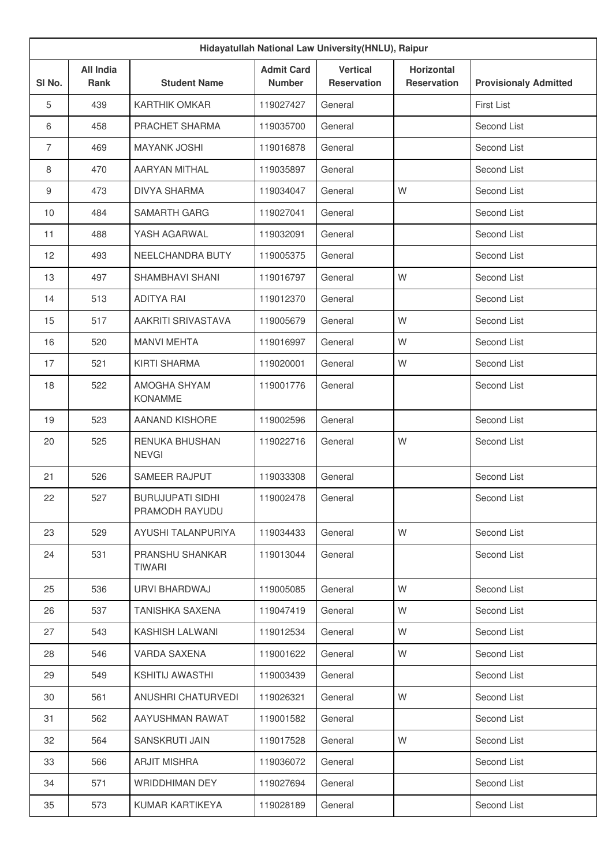|                | Hidayatullah National Law University(HNLU), Raipur |                                           |                                    |                                       |                                         |                              |  |  |
|----------------|----------------------------------------------------|-------------------------------------------|------------------------------------|---------------------------------------|-----------------------------------------|------------------------------|--|--|
| SI No.         | <b>All India</b><br><b>Rank</b>                    | <b>Student Name</b>                       | <b>Admit Card</b><br><b>Number</b> | <b>Vertical</b><br><b>Reservation</b> | <b>Horizontal</b><br><b>Reservation</b> | <b>Provisionaly Admitted</b> |  |  |
| 5              | 439                                                | <b>KARTHIK OMKAR</b>                      | 119027427                          | General                               |                                         | First List                   |  |  |
| 6              | 458                                                | PRACHET SHARMA                            | 119035700                          | General                               |                                         | Second List                  |  |  |
| $\overline{7}$ | 469                                                | <b>MAYANK JOSHI</b>                       | 119016878                          | General                               |                                         | Second List                  |  |  |
| 8              | 470                                                | AARYAN MITHAL                             | 119035897                          | General                               |                                         | Second List                  |  |  |
| 9              | 473                                                | <b>DIVYA SHARMA</b>                       | 119034047                          | General                               | W                                       | Second List                  |  |  |
| 10             | 484                                                | <b>SAMARTH GARG</b>                       | 119027041                          | General                               |                                         | Second List                  |  |  |
| 11             | 488                                                | YASH AGARWAL                              | 119032091                          | General                               |                                         | Second List                  |  |  |
| 12             | 493                                                | NEELCHANDRA BUTY                          | 119005375                          | General                               |                                         | Second List                  |  |  |
| 13             | 497                                                | <b>SHAMBHAVI SHANI</b>                    | 119016797                          | General                               | W                                       | Second List                  |  |  |
| 14             | 513                                                | <b>ADITYA RAI</b>                         | 119012370                          | General                               |                                         | Second List                  |  |  |
| 15             | 517                                                | <b>AAKRITI SRIVASTAVA</b>                 | 119005679                          | General                               | W                                       | Second List                  |  |  |
| 16             | 520                                                | <b>MANVI MEHTA</b>                        | 119016997                          | General                               | W                                       | Second List                  |  |  |
| 17             | 521                                                | KIRTI SHARMA                              | 119020001                          | General                               | W                                       | Second List                  |  |  |
| 18             | 522                                                | AMOGHA SHYAM<br><b>KONAMME</b>            | 119001776                          | General                               |                                         | Second List                  |  |  |
| 19             | 523                                                | AANAND KISHORE                            | 119002596                          | General                               |                                         | Second List                  |  |  |
| 20             | 525                                                | RENUKA BHUSHAN<br><b>NEVGI</b>            | 119022716                          | General                               | W                                       | Second List                  |  |  |
| 21             | 526                                                | SAMEER RAJPUT                             | 119033308                          | General                               |                                         | Second List                  |  |  |
| 22             | 527                                                | <b>BURUJUPATI SIDHI</b><br>PRAMODH RAYUDU | 119002478                          | General                               |                                         | Second List                  |  |  |
| 23             | 529                                                | AYUSHI TALANPURIYA                        | 119034433                          | General                               | W                                       | Second List                  |  |  |
| 24             | 531                                                | PRANSHU SHANKAR<br>TIWARI                 | 119013044                          | General                               |                                         | Second List                  |  |  |
| 25             | 536                                                | URVI BHARDWAJ                             | 119005085                          | General                               | W                                       | Second List                  |  |  |
| 26             | 537                                                | TANISHKA SAXENA                           | 119047419                          | General                               | W                                       | Second List                  |  |  |
| 27             | 543                                                | KASHISH LALWANI                           | 119012534                          | General                               | W                                       | Second List                  |  |  |
| 28             | 546                                                | VARDA SAXENA                              | 119001622                          | General                               | W                                       | Second List                  |  |  |
| 29             | 549                                                | KSHITIJ AWASTHI                           | 119003439                          | General                               |                                         | Second List                  |  |  |
| 30             | 561                                                | ANUSHRI CHATURVEDI                        | 119026321                          | General                               | W                                       | Second List                  |  |  |
| 31             | 562                                                | AAYUSHMAN RAWAT                           | 119001582                          | General                               |                                         | Second List                  |  |  |
| 32             | 564                                                | SANSKRUTI JAIN                            | 119017528                          | General                               | W                                       | Second List                  |  |  |
| 33             | 566                                                | <b>ARJIT MISHRA</b>                       | 119036072                          | General                               |                                         | Second List                  |  |  |
| 34             | 571                                                | <b>WRIDDHIMAN DEY</b>                     | 119027694                          | General                               |                                         | Second List                  |  |  |
| 35             | 573                                                | KUMAR KARTIKEYA                           | 119028189                          | General                               |                                         | Second List                  |  |  |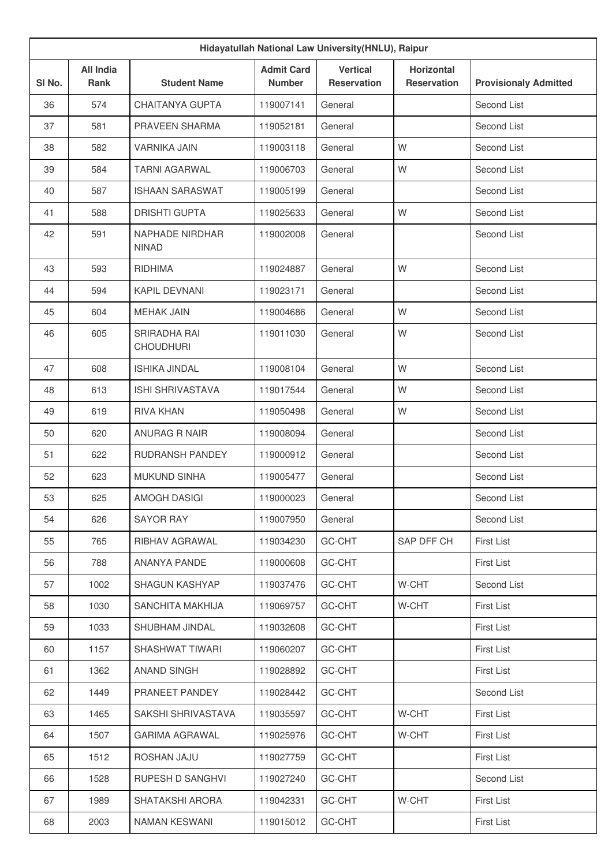| Hidayatullah National Law University (HNLU), Raipur |                                 |                                  |                                    |                                       |                                         |                              |  |
|-----------------------------------------------------|---------------------------------|----------------------------------|------------------------------------|---------------------------------------|-----------------------------------------|------------------------------|--|
| SI <sub>No.</sub>                                   | <b>All India</b><br><b>Rank</b> | <b>Student Name</b>              | <b>Admit Card</b><br><b>Number</b> | <b>Vertical</b><br><b>Reservation</b> | <b>Horizontal</b><br><b>Reservation</b> | <b>Provisionaly Admitted</b> |  |
| 36                                                  | 574                             | <b>CHAITANYA GUPTA</b>           | 119007141                          | General                               |                                         | Second List                  |  |
| 37                                                  | 581                             | PRAVEEN SHARMA                   | 119052181                          | General                               |                                         | Second List                  |  |
| 38                                                  | 582                             | <b>VARNIKA JAIN</b>              | 119003118                          | General                               | W                                       | Second List                  |  |
| 39                                                  | 584                             | <b>TARNI AGARWAL</b>             | 119006703                          | General                               | W                                       | Second List                  |  |
| 40                                                  | 587                             | <b>ISHAAN SARASWAT</b>           | 119005199                          | General                               |                                         | Second List                  |  |
| 41                                                  | 588                             | <b>DRISHTI GUPTA</b>             | 119025633                          | General                               | W                                       | Second List                  |  |
| 42                                                  | 591                             | NAPHADE NIRDHAR<br><b>NINAD</b>  | 119002008                          | General                               |                                         | Second List                  |  |
| 43                                                  | 593                             | <b>RIDHIMA</b>                   | 119024887                          | General                               | W                                       | Second List                  |  |
| 44                                                  | 594                             | <b>KAPIL DEVNANI</b>             | 119023171                          | General                               |                                         | Second List                  |  |
| 45                                                  | 604                             | <b>MEHAK JAIN</b>                | 119004686                          | General                               | W                                       | Second List                  |  |
| 46                                                  | 605                             | SRIRADHA RAI<br><b>CHOUDHURI</b> | 119011030                          | General                               | W                                       | Second List                  |  |
| 47                                                  | 608                             | <b>ISHIKA JINDAL</b>             | 119008104                          | General                               | W                                       | Second List                  |  |
| 48                                                  | 613                             | <b>ISHI SHRIVASTAVA</b>          | 119017544                          | General                               | W                                       | Second List                  |  |
| 49                                                  | 619                             | <b>RIVA KHAN</b>                 | 119050498                          | General                               | W                                       | Second List                  |  |
| 50                                                  | 620                             | ANURAG R NAIR                    | 119008094                          | General                               |                                         | Second List                  |  |
| 51                                                  | 622                             | RUDRANSH PANDEY                  | 119000912                          | General                               |                                         | Second List                  |  |
| 52                                                  | 623                             | <b>MUKUND SINHA</b>              | 119005477                          | General                               |                                         | Second List                  |  |
| 53                                                  | 625                             | <b>AMOGH DASIGI</b>              | 119000023                          | General                               |                                         | Second List                  |  |
| 54                                                  | 626                             | <b>SAYOR RAY</b>                 | 119007950                          | General                               |                                         | Second List                  |  |
| 55                                                  | 765                             | RIBHAV AGRAWAL                   | 119034230                          | GC-CHT                                | SAP DFF CH                              | <b>First List</b>            |  |
| 56                                                  | 788                             | ANANYA PANDE                     | 119000608                          | GC-CHT                                |                                         | <b>First List</b>            |  |
| 57                                                  | 1002                            | SHAGUN KASHYAP                   | 119037476                          | GC-CHT                                | W-CHT                                   | Second List                  |  |
| 58                                                  | 1030                            | SANCHITA MAKHIJA                 | 119069757                          | GC-CHT                                | W-CHT                                   | <b>First List</b>            |  |
| 59                                                  | 1033                            | SHUBHAM JINDAL                   | 119032608                          | GC-CHT                                |                                         | <b>First List</b>            |  |
| 60                                                  | 1157                            | SHASHWAT TIWARI                  | 119060207                          | GC-CHT                                |                                         | <b>First List</b>            |  |
| 61                                                  | 1362                            | <b>ANAND SINGH</b>               | 119028892                          | GC-CHT                                |                                         | <b>First List</b>            |  |
| 62                                                  | 1449                            | PRANEET PANDEY                   | 119028442                          | GC-CHT                                |                                         | Second List                  |  |
| 63                                                  | 1465                            | SAKSHI SHRIVASTAVA               | 119035597                          | GC-CHT                                | W-CHT                                   | <b>First List</b>            |  |
| 64                                                  | 1507                            | <b>GARIMA AGRAWAL</b>            | 119025976                          | GC-CHT                                | W-CHT                                   | <b>First List</b>            |  |
| 65                                                  | 1512                            | ROSHAN JAJU                      | 119027759                          | GC-CHT                                |                                         | <b>First List</b>            |  |
| 66                                                  | 1528                            | RUPESH D SANGHVI                 | 119027240                          | GC-CHT                                |                                         | Second List                  |  |
| 67                                                  | 1989                            | SHATAKSHI ARORA                  | 119042331                          | GC-CHT                                | W-CHT                                   | <b>First List</b>            |  |
| 68                                                  | 2003                            | NAMAN KESWANI                    | 119015012                          | GC-CHT                                |                                         | First List                   |  |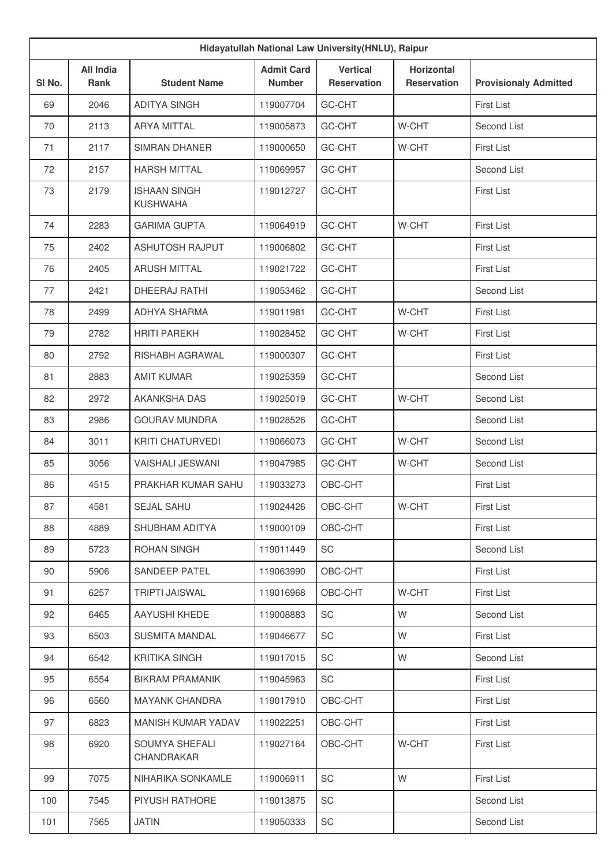| Hidayatullah National Law University(HNLU), Raipur |                                 |                                        |                                    |                                       |                                         |                              |  |
|----------------------------------------------------|---------------------------------|----------------------------------------|------------------------------------|---------------------------------------|-----------------------------------------|------------------------------|--|
| SI No.                                             | <b>All India</b><br><b>Rank</b> | <b>Student Name</b>                    | <b>Admit Card</b><br><b>Number</b> | <b>Vertical</b><br><b>Reservation</b> | <b>Horizontal</b><br><b>Reservation</b> | <b>Provisionaly Admitted</b> |  |
| 69                                                 | 2046                            | <b>ADITYA SINGH</b>                    | 119007704                          | GC-CHT                                |                                         | <b>First List</b>            |  |
| 70                                                 | 2113                            | <b>ARYA MITTAL</b>                     | 119005873                          | GC-CHT                                | W-CHT                                   | Second List                  |  |
| 71                                                 | 2117                            | <b>SIMRAN DHANER</b>                   | 119000650                          | GC-CHT                                | W-CHT                                   | <b>First List</b>            |  |
| 72                                                 | 2157                            | <b>HARSH MITTAL</b>                    | 119069957                          | GC-CHT                                |                                         | Second List                  |  |
| 73                                                 | 2179                            | <b>ISHAAN SINGH</b><br><b>KUSHWAHA</b> | 119012727                          | GC-CHT                                |                                         | <b>First List</b>            |  |
| 74                                                 | 2283                            | <b>GARIMA GUPTA</b>                    | 119064919                          | GC-CHT                                | W-CHT                                   | <b>First List</b>            |  |
| 75                                                 | 2402                            | <b>ASHUTOSH RAJPUT</b>                 | 119006802                          | GC-CHT                                |                                         | First List                   |  |
| 76                                                 | 2405                            | <b>ARUSH MITTAL</b>                    | 119021722                          | GC-CHT                                |                                         | <b>First List</b>            |  |
| 77                                                 | 2421                            | <b>DHEERAJ RATHI</b>                   | 119053462                          | GC-CHT                                |                                         | Second List                  |  |
| 78                                                 | 2499                            | ADHYA SHARMA                           | 119011981                          | GC-CHT                                | W-CHT                                   | <b>First List</b>            |  |
| 79                                                 | 2782                            | <b>HRITI PAREKH</b>                    | 119028452                          | GC-CHT                                | W-CHT                                   | <b>First List</b>            |  |
| 80                                                 | 2792                            | <b>RISHABH AGRAWAL</b>                 | 119000307                          | GC-CHT                                |                                         | <b>First List</b>            |  |
| 81                                                 | 2883                            | <b>AMIT KUMAR</b>                      | 119025359                          | GC-CHT                                |                                         | Second List                  |  |
| 82                                                 | 2972                            | AKANKSHA DAS                           | 119025019                          | GC-CHT                                | W-CHT                                   | Second List                  |  |
| 83                                                 | 2986                            | <b>GOURAV MUNDRA</b>                   | 119028526                          | GC-CHT                                |                                         | Second List                  |  |
| 84                                                 | 3011                            | <b>KRITI CHATURVEDI</b>                | 119066073                          | GC-CHT                                | W-CHT                                   | Second List                  |  |
| 85                                                 | 3056                            | <b>VAISHALI JESWANI</b>                | 119047985                          | GC-CHT                                | W-CHT                                   | Second List                  |  |
| 86                                                 | 4515                            | PRAKHAR KUMAR SAHU                     | 119033273                          | OBC-CHT                               |                                         | <b>First List</b>            |  |
| 87                                                 | 4581                            | SEJAL SAHU                             | 119024426                          | OBC-CHT                               | W-CHT                                   | <b>First List</b>            |  |
| 88                                                 | 4889                            | SHUBHAM ADITYA                         | 119000109                          | OBC-CHT                               |                                         | First List                   |  |
| 89                                                 | 5723                            | ROHAN SINGH                            | 119011449                          | SC                                    |                                         | Second List                  |  |
| 90                                                 | 5906                            | SANDEEP PATEL                          | 119063990                          | OBC-CHT                               |                                         | <b>First List</b>            |  |
| 91                                                 | 6257                            | <b>TRIPTI JAISWAL</b>                  | 119016968                          | OBC-CHT                               | W-CHT                                   | First List                   |  |
| 92                                                 | 6465                            | AAYUSHI KHEDE                          | 119008883                          | SC                                    | W                                       | Second List                  |  |
| 93                                                 | 6503                            | <b>SUSMITA MANDAL</b>                  | 119046677                          | SC                                    | W                                       | <b>First List</b>            |  |
| 94                                                 | 6542                            | <b>KRITIKA SINGH</b>                   | 119017015                          | SC                                    | W                                       | Second List                  |  |
| 95                                                 | 6554                            | <b>BIKRAM PRAMANIK</b>                 | 119045963                          | SC                                    |                                         | <b>First List</b>            |  |
| 96                                                 | 6560                            | <b>MAYANK CHANDRA</b>                  | 119017910                          | OBC-CHT                               |                                         | First List                   |  |
| 97                                                 | 6823                            | MANISH KUMAR YADAV                     | 119022251                          | OBC-CHT                               |                                         | First List                   |  |
| 98                                                 | 6920                            | SOUMYA SHEFALI<br>CHANDRAKAR           | 119027164                          | OBC-CHT                               | W-CHT                                   | <b>First List</b>            |  |
| 99                                                 | 7075                            | NIHARIKA SONKAMLE                      | 119006911                          | SC                                    | W                                       | <b>First List</b>            |  |
| 100                                                | 7545                            | PIYUSH RATHORE                         | 119013875                          | SC                                    |                                         | Second List                  |  |
| 101                                                | 7565                            | <b>JATIN</b>                           | 119050333                          | SC                                    |                                         | Second List                  |  |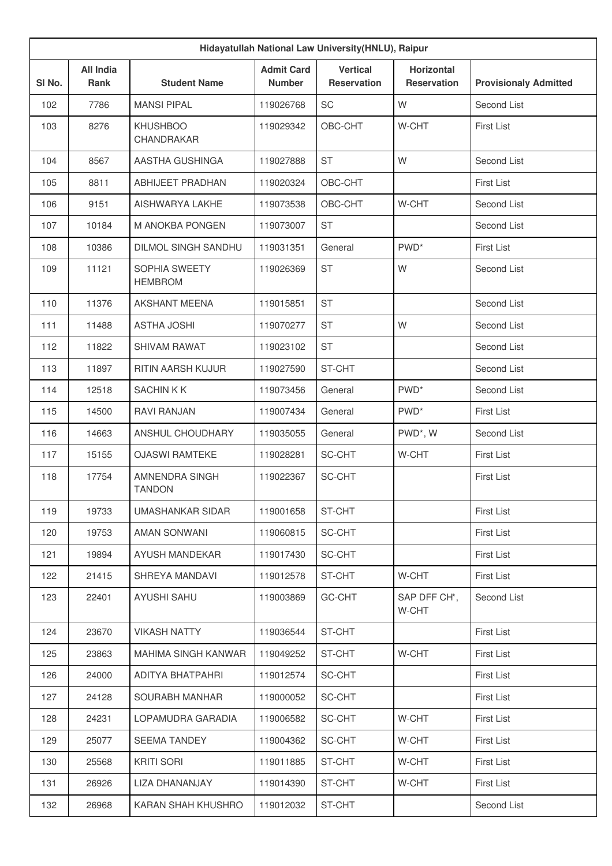| Hidayatullah National Law University(HNLU), Raipur |                                 |                                 |                                    |                                       |                                         |                              |  |
|----------------------------------------------------|---------------------------------|---------------------------------|------------------------------------|---------------------------------------|-----------------------------------------|------------------------------|--|
| SI No.                                             | <b>All India</b><br><b>Rank</b> | <b>Student Name</b>             | <b>Admit Card</b><br><b>Number</b> | <b>Vertical</b><br><b>Reservation</b> | <b>Horizontal</b><br><b>Reservation</b> | <b>Provisionaly Admitted</b> |  |
| 102                                                | 7786                            | <b>MANSI PIPAL</b>              | 119026768                          | <b>SC</b>                             | W                                       | Second List                  |  |
| 103                                                | 8276                            | <b>KHUSHBOO</b><br>CHANDRAKAR   | 119029342                          | OBC-CHT                               | W-CHT                                   | <b>First List</b>            |  |
| 104                                                | 8567                            | AASTHA GUSHINGA                 | 119027888                          | <b>ST</b>                             | W                                       | Second List                  |  |
| 105                                                | 8811                            | <b>ABHIJEET PRADHAN</b>         | 119020324                          | OBC-CHT                               |                                         | First List                   |  |
| 106                                                | 9151                            | AISHWARYA LAKHE                 | 119073538                          | OBC-CHT                               | W-CHT                                   | Second List                  |  |
| 107                                                | 10184                           | M ANOKBA PONGEN                 | 119073007                          | <b>ST</b>                             |                                         | Second List                  |  |
| 108                                                | 10386                           | <b>DILMOL SINGH SANDHU</b>      | 119031351                          | General                               | PWD <sup>*</sup>                        | <b>First List</b>            |  |
| 109                                                | 11121                           | SOPHIA SWEETY<br><b>HEMBROM</b> | 119026369                          | <b>ST</b>                             | W                                       | Second List                  |  |
| 110                                                | 11376                           | <b>AKSHANT MEENA</b>            | 119015851                          | <b>ST</b>                             |                                         | Second List                  |  |
| 111                                                | 11488                           | <b>ASTHA JOSHI</b>              | 119070277                          | <b>ST</b>                             | W                                       | Second List                  |  |
| 112                                                | 11822                           | <b>SHIVAM RAWAT</b>             | 119023102                          | <b>ST</b>                             |                                         | Second List                  |  |
| 113                                                | 11897                           | <b>RITIN AARSH KUJUR</b>        | 119027590                          | ST-CHT                                |                                         | Second List                  |  |
| 114                                                | 12518                           | <b>SACHIN K K</b>               | 119073456                          | General                               | PWD <sup>*</sup>                        | Second List                  |  |
| 115                                                | 14500                           | <b>RAVI RANJAN</b>              | 119007434                          | General                               | PWD <sup>*</sup>                        | <b>First List</b>            |  |
| 116                                                | 14663                           | <b>ANSHUL CHOUDHARY</b>         | 119035055                          | General                               | PWD*, W                                 | Second List                  |  |
| 117                                                | 15155                           | <b>OJASWI RAMTEKE</b>           | 119028281                          | SC-CHT                                | W-CHT                                   | <b>First List</b>            |  |
| 118                                                | 17754                           | AMNENDRA SINGH<br><b>TANDON</b> | 119022367                          | SC-CHT                                |                                         | <b>First List</b>            |  |
| 119                                                | 19733                           | <b>UMASHANKAR SIDAR</b>         | 119001658                          | ST-CHT                                |                                         | First List                   |  |
| 120                                                | 19753                           | AMAN SONWANI                    | 119060815                          | SC-CHT                                |                                         | First List                   |  |
| 121                                                | 19894                           | AYUSH MANDEKAR                  | 119017430                          | SC-CHT                                |                                         | First List                   |  |
| 122                                                | 21415                           | SHREYA MANDAVI                  | 119012578                          | ST-CHT                                | W-CHT                                   | First List                   |  |
| 123                                                | 22401                           | <b>AYUSHI SAHU</b>              | 119003869                          | GC-CHT                                | SAP DFF CH*,<br>W-CHT                   | Second List                  |  |
| 124                                                | 23670                           | <b>VIKASH NATTY</b>             | 119036544                          | ST-CHT                                |                                         | <b>First List</b>            |  |
| 125                                                | 23863                           | <b>MAHIMA SINGH KANWAR</b>      | 119049252                          | ST-CHT                                | W-CHT                                   | <b>First List</b>            |  |
| 126                                                | 24000                           | ADITYA BHATPAHRI                | 119012574                          | SC-CHT                                |                                         | First List                   |  |
| 127                                                | 24128                           | SOURABH MANHAR                  | 119000052                          | SC-CHT                                |                                         | <b>First List</b>            |  |
| 128                                                | 24231                           | LOPAMUDRA GARADIA               | 119006582                          | SC-CHT                                | W-CHT                                   | <b>First List</b>            |  |
| 129                                                | 25077                           | <b>SEEMA TANDEY</b>             | 119004362                          | SC-CHT                                | W-CHT                                   | <b>First List</b>            |  |
| 130                                                | 25568                           | <b>KRITI SORI</b>               | 119011885                          | ST-CHT                                | W-CHT                                   | First List                   |  |
| 131                                                | 26926                           | LIZA DHANANJAY                  | 119014390                          | ST-CHT                                | W-CHT                                   | <b>First List</b>            |  |
| 132                                                | 26968                           | KARAN SHAH KHUSHRO              | 119012032                          | ST-CHT                                |                                         | Second List                  |  |